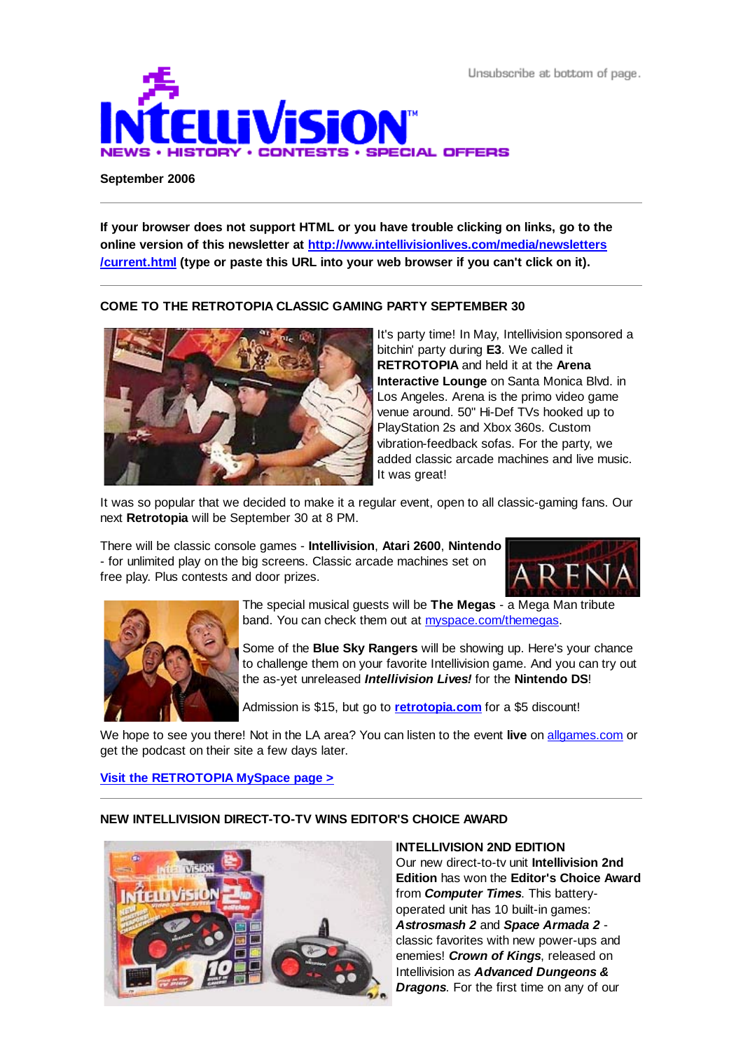Unsubscribe at bottom of page.



#### **September 2006**

**If your browser does not support HTML or you have trouble clicking on links, go to the online version of this newsletter at http://www.intellivisionlives.com/media/newsletters /current.html (type or paste this URL into your web browser if you can't click on it).**

# **COME TO THE RETROTOPIA CLASSIC GAMING PARTY SEPTEMBER 30**



It's party time! In May, Intellivision sponsored a bitchin' party during **E3**. We called it **RETROTOPIA** and held it at the **Arena Interactive Lounge** on Santa Monica Blvd. in Los Angeles. Arena is the primo video game venue around. 50" Hi-Def TVs hooked up to PlayStation 2s and Xbox 360s. Custom vibration-feedback sofas. For the party, we added classic arcade machines and live music. It was great!

It was so popular that we decided to make it a regular event, open to all classic-gaming fans. Our next **Retrotopia** will be September 30 at 8 PM.

There will be classic console games - **Intellivision**, **Atari 2600**, **Nintendo** - for unlimited play on the big screens. Classic arcade machines set on free play. Plus contests and door prizes.





The special musical guests will be **The Megas** - a Mega Man tribute band. You can check them out at myspace.com/themegas.

Some of the **Blue Sky Rangers** will be showing up. Here's your chance to challenge them on your favorite Intellivision game. And you can try out the as-yet unreleased *Intellivision Lives!* for the **Nintendo DS**!

Admission is \$15, but go to **retrotopia.com** for a \$5 discount!

We hope to see you there! Not in the LA area? You can listen to the event **live** on allgames.com or get the podcast on their site a few days later.

## **Visit the RETROTOPIA MySpace page >**

## **NEW INTELLIVISION DIRECT-TO-TV WINS EDITOR'S CHOICE AWARD**



#### **INTELLIVISION 2ND EDITION**

Our new direct-to-tv unit **Intellivision 2nd Edition** has won the **Editor's Choice Award** from *Computer Times*. This batteryoperated unit has 10 built-in games: *Astrosmash 2* and *Space Armada 2* classic favorites with new power-ups and enemies! *Crown of Kings*, released on Intellivision as *Advanced Dungeons & Dragons*. For the first time on any of our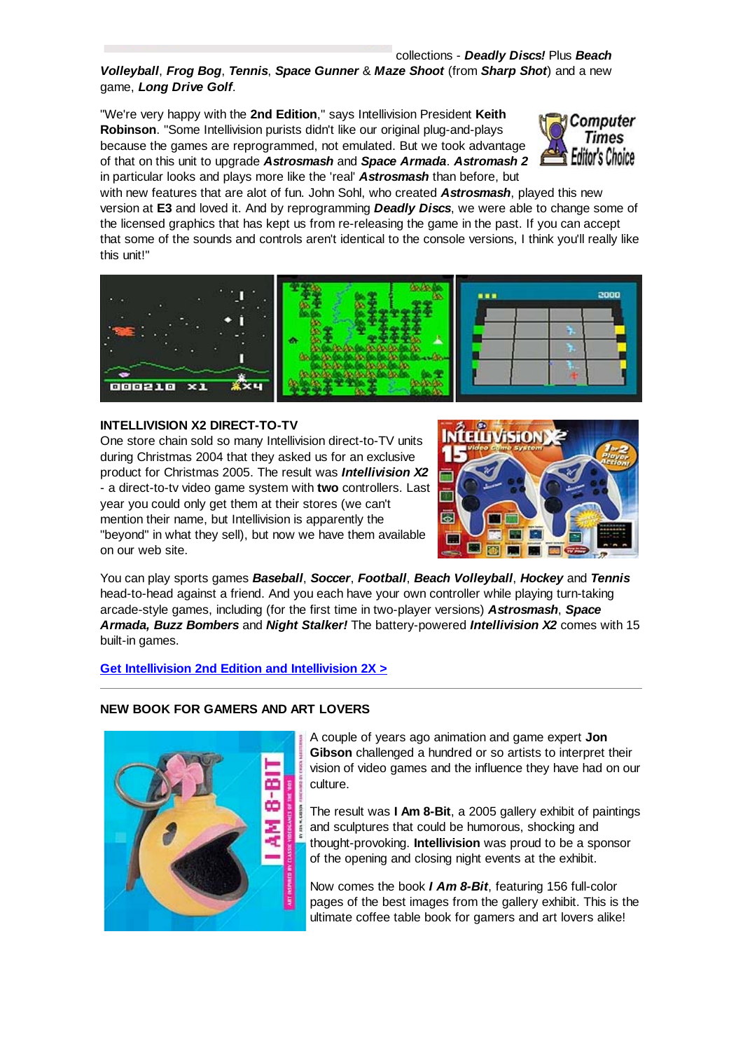#### collections - *Deadly Discs!* Plus *Beach*

*Volleyball*, *Frog Bog*, *Tennis*, *Space Gunner* & *Maze Shoot* (from *Sharp Shot*) and a new game, *Long Drive Golf*.

"We're very happy with the **2nd Edition**," says Intellivision President **Keith Robinson**. "Some Intellivision purists didn't like our original plug-and-plays because the games are reprogrammed, not emulated. But we took advantage of that on this unit to upgrade *Astrosmash* and *Space Armada*. *Astromash 2* in particular looks and plays more like the 'real' *Astrosmash* than before, but



with new features that are alot of fun. John Sohl, who created *Astrosmash*, played this new version at **E3** and loved it. And by reprogramming *Deadly Discs*, we were able to change some of the licensed graphics that has kept us from re-releasing the game in the past. If you can accept that some of the sounds and controls aren't identical to the console versions, I think you'll really like this unit!"



## **INTELLIVISION X2 DIRECT-TO-TV**

One store chain sold so many Intellivision direct-to-TV units during Christmas 2004 that they asked us for an exclusive product for Christmas 2005. The result was *Intellivision X2* - a direct-to-tv video game system with **two** controllers. Last year you could only get them at their stores (we can't mention their name, but Intellivision is apparently the "beyond" in what they sell), but now we have them available on our web site.



You can play sports games *Baseball*, *Soccer*, *Football*, *Beach Volleyball*, *Hockey* and *Tennis* head-to-head against a friend. And you each have your own controller while playing turn-taking arcade-style games, including (for the first time in two-player versions) *Astrosmash*, *Space Armada, Buzz Bombers* and *Night Stalker!* The battery-powered *Intellivision X2* comes with 15 built-in games.

## **Get Intellivision 2nd Edition and Intellivision 2X >**



#### **NEW BOOK FOR GAMERS AND ART LOVERS**

A couple of years ago animation and game expert **Jon Gibson** challenged a hundred or so artists to interpret their vision of video games and the influence they have had on our culture.

The result was **I Am 8-Bit**, a 2005 gallery exhibit of paintings and sculptures that could be humorous, shocking and thought-provoking. **Intellivision** was proud to be a sponsor of the opening and closing night events at the exhibit.

Now comes the book *I Am 8-Bit*, featuring 156 full-color pages of the best images from the gallery exhibit. This is the ultimate coffee table book for gamers and art lovers alike!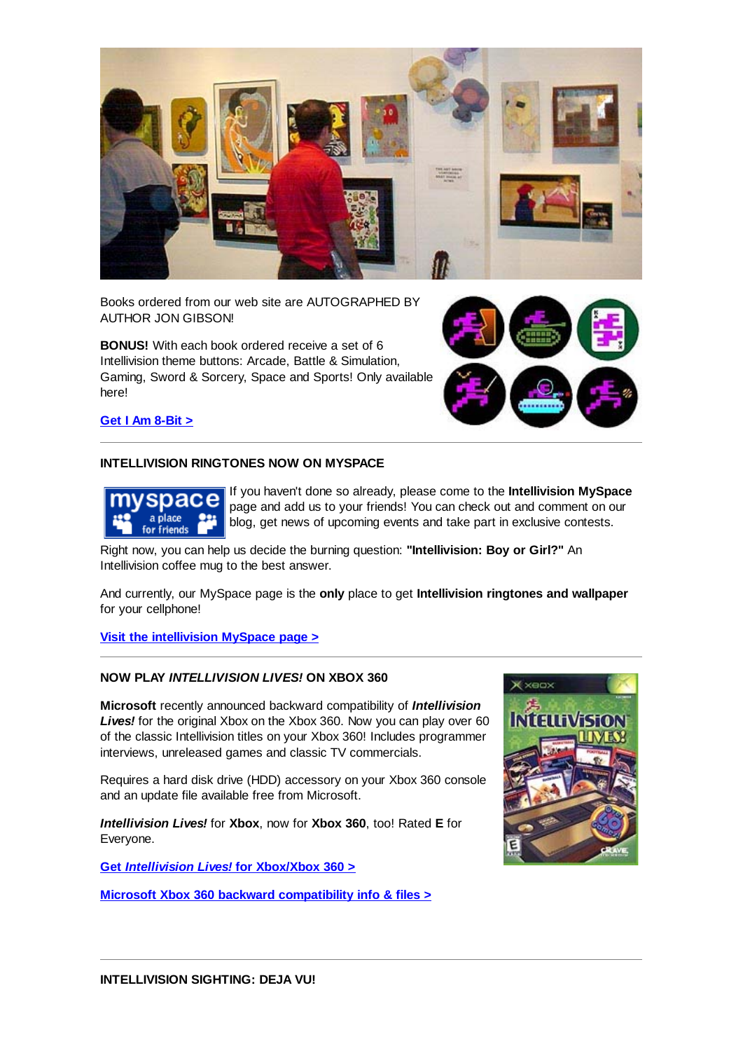

Books ordered from our web site are AUTOGRAPHED BY AUTHOR JON GIBSON!

**BONUS!** With each book ordered receive a set of 6 Intellivision theme buttons: Arcade, Battle & Simulation, Gaming, Sword & Sorcery, Space and Sports! Only available here!



**Get I Am 8-Bit >**

## **INTELLIVISION RINGTONES NOW ON MYSPACE**



If you haven't done so already, please come to the **Intellivision MySpace** page and add us to your friends! You can check out and comment on our blog, get news of upcoming events and take part in exclusive contests.

Right now, you can help us decide the burning question: **"Intellivision: Boy or Girl?"** An Intellivision coffee mug to the best answer.

And currently, our MySpace page is the **only** place to get **Intellivision ringtones and wallpaper** for your cellphone!

**Visit the intellivision MySpace page >**

# **NOW PLAY** *INTELLIVISION LIVES!* **ON XBOX 360**

**Microsoft** recently announced backward compatibility of *Intellivision Lives!* for the original Xbox on the Xbox 360. Now you can play over 60 of the classic Intellivision titles on your Xbox 360! Includes programmer interviews, unreleased games and classic TV commercials.

Requires a hard disk drive (HDD) accessory on your Xbox 360 console and an update file available free from Microsoft.

*Intellivision Lives!* for **Xbox**, now for **Xbox 360**, too! Rated **E** for Everyone.

**Get** *Intellivision Lives!* **for Xbox/Xbox 360 >**

**Microsoft Xbox 360 backward compatibility info & files >**